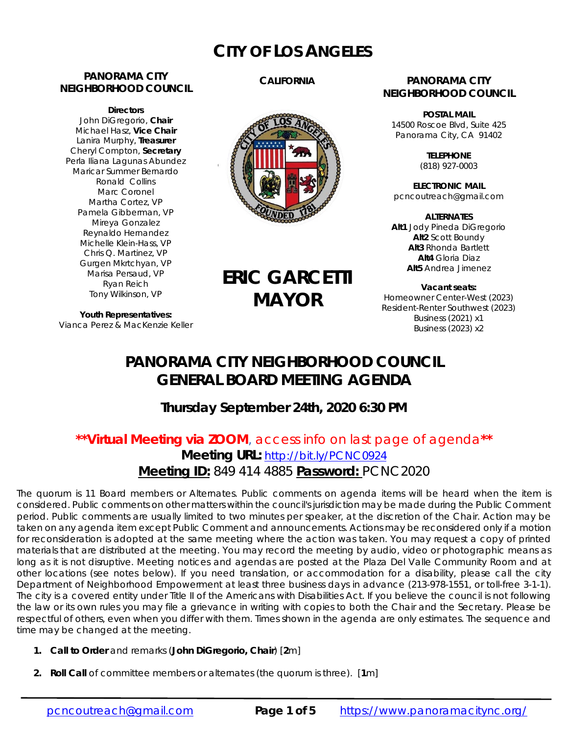## **CITY OF LOS ANGELES**

#### **PANORAMA CITY NEIGHBORHOOD COUNCIL**

**Directors**  John DiGregorio, **Chair** Michael Hasz, **Vice Chair** Lanira Murphy, **Treasurer** Cheryl Compton, **Secretary** Perla Iliana Lagunas Abundez Maricar Summer Bernardo Ronald Collins Marc Coronel Martha Cortez, VP Pamela Gibberman, VP Mireya Gonzalez Reynaldo Hernandez Michelle Klein-Hass, VP Chris Q. Martinez, VP Gurgen Mkrtchyan, VP Marisa Persaud, VP Ryan Reich Tony Wilkinson, VP

#### **CALIFORNIA**



# **ERIC GARCETTI MAYOR**

**Youth Representatives:**  Vianca Perez & MacKenzie Keller

#### **PANORAMA CITY NEIGHBORHOOD COUNCIL**

**POSTAL MAIL** 14500 Roscoe Blvd, Suite 425 Panorama City, CA 91402

> **TELEPHONE** (818) 927-0003

**ELECTRONIC MAIL** pcncoutreach@gmail.com

**ALTERNATES Alt1** Jody Pineda DiGregorio **Alt2** Scott Boundy **Alt3** Rhonda Bartlett **Alt4** Gloria Diaz **Alt5** Andrea Jimenez

**Vacant seats:**  Homeowner Center-West (2023) Resident-Renter Southwest (2023) Business (2021) x1 Business (2023) x2

## **PANORAMA CITY NEIGHBORHOOD COUNCIL GENERAL BOARD MEETING AGENDA**

**Thursday September 24th, 2020 6:30 PM** 

### **\*\*Virtual Meeting via ZOOM**, access info on last page of agenda**\*\***  Meeting URL: http://bit.ly/PCNC0924 **Meeting ID:** 849 414 4885 **Password:** PCNC2020

The quorum is 11 Board members or Alternates. Public comments on agenda items will be heard when the item is considered. Public comments on other matters within the council's jurisdiction may be made during the Public Comment period. Public comments are usually limited to two minutes per speaker, at the discretion of the Chair. Action may be taken on any agenda item except Public Comment and announcements. Actions may be reconsidered only if a motion for reconsideration is adopted at the same meeting where the action was taken. You may request a copy of printed materials that are distributed at the meeting. You may record the meeting by audio, video or photographic means as long as it is not disruptive. Meeting notices and agendas are posted at the Plaza Del Valle Community Room and at other locations (see notes below). If you need translation, or accommodation for a disability, please call the city Department of Neighborhood Empowerment at least three business days in advance (213-978-1551, or toll-free 3-1-1). The city is a covered entity under Title II of the Americans with Disabilities Act. If you believe the council is not following the law or its own rules you may file a grievance in writing with copies to both the Chair and the Secretary. Please be respectful of others, even when you differ with them. Times shown in the agenda are only estimates. The sequence and time may be changed at the meeting.

- **1. Call to Order** and remarks (*John DiGregorio***, Chair**) [**2**m]
- **2. Roll Call** of committee members or alternates (the quorum is three). [**1**m]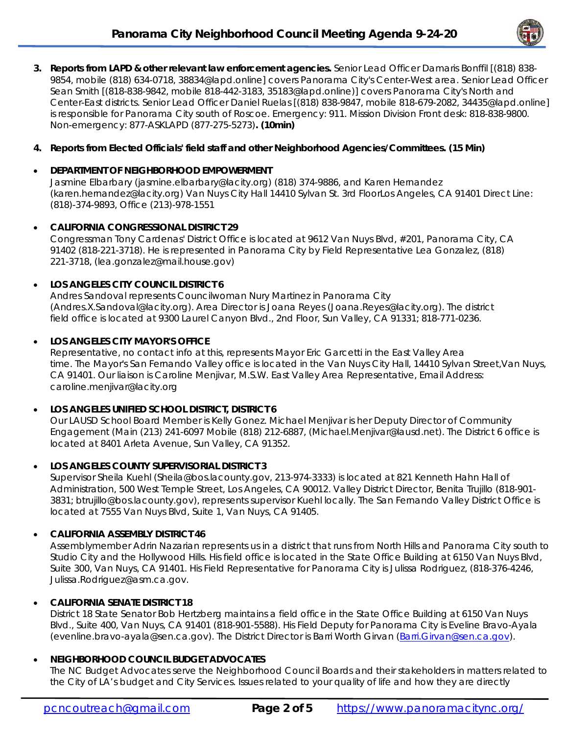

**3. Reports from LAPD & other relevant law enforcement agencies.** Senior Lead Officer Damaris Bonffil [(818) 838- 9854, mobile (818) 634-0718, 38834@lapd.online] covers Panorama City's Center-West area. Senior Lead Officer Sean Smith [(818-838-9842, mobile 818-442-3183, 35183@lapd.online)] covers Panorama City's North and Center-East districts. Senior Lead Officer Daniel Ruelas [(818) 838-9847, mobile 818-679-2082, 34435@lapd.online] is responsible for Panorama City south of Roscoe. Emergency: 911. Mission Division Front desk: 818-838-9800. Non-emergency: 877-ASKLAPD (877-275-5273)**. (10min)**

#### **4. Reports from Elected Officials' field staff and other Neighborhood Agencies/Committees. (15 Min)**

#### **DEPARTMENT OF NEIGHBORHOOD EMPOWERMENT**

Jasmine Elbarbary (jasmine.elbarbary@lacity.org) (818) 374-9886, and Karen Hernandez (karen.hernandez@lacity.org) Van Nuys City Hall 14410 Sylvan St. 3rd FloorLos Angeles, CA 91401 Direct Line: (818)-374-9893, Office (213)-978-1551

#### **CALIFORNIA CONGRESSIONAL DISTRICT 29**

Congressman Tony Cardenas' District Office is located at 9612 Van Nuys Blvd, #201, Panorama City, CA 91402 (818-221-3718). He is represented in Panorama City by Field Representative Lea Gonzalez, (818) 221-3718, (lea.gonzalez@mail.house.gov)

#### **LOS ANGELES CITY COUNCIL DISTRICT 6**

Andres Sandoval represents Councilwoman Nury Martinez in Panorama City (Andres.X.Sandoval@lacity.org). Area Director is Joana Reyes (Joana.Reyes@lacity.org). The district field office is located at 9300 Laurel Canyon Blvd., 2nd Floor, Sun Valley, CA 91331; 818-771-0236.

#### **LOS ANGELES CITY MAYOR'S OFFICE**

Representative, no contact info at this, represents Mayor Eric Garcetti in the East Valley Area time. The Mayor's San Fernando Valley office is located in the Van Nuys City Hall, 14410 Sylvan Street,Van Nuys, CA 91401. Our liaison is Caroline Menjivar, M.S.W. East Valley Area Representative, Email Address: caroline.menjivar@lacity.org

#### **LOS ANGELES UNIFIED SCHOOL DISTRICT, DISTRICT 6**

Our LAUSD School Board Member is Kelly Gonez. Michael Menjivar is her Deputy Director of Community Engagement (Main (213) 241-6097 Mobile (818) 212-6887, (Michael.Menjivar@lausd.net). The District 6 office is located at 8401 Arleta Avenue, Sun Valley, CA 91352.

#### **LOS ANGELES COUNTY SUPERVISORIAL DISTRICT 3**

Supervisor Sheila Kuehl (Sheila@bos.lacounty.gov, 213-974-3333) is located at 821 Kenneth Hahn Hall of Administration, 500 West Temple Street, Los Angeles, CA 90012. Valley District Director, Benita Trujillo (818-901- 3831; btrujillo@bos.lacounty.gov), represents supervisor Kuehl locally. The San Fernando Valley District Office is located at 7555 Van Nuys Blvd, Suite 1, Van Nuys, CA 91405.

#### **CALIFORNIA ASSEMBLY DISTRICT 46**

Assemblymember Adrin Nazarian represents us in a district that runs from North Hills and Panorama City south to Studio City and the Hollywood Hills. His field office is located in the State Office Building at 6150 Van Nuys Blvd, Suite 300, Van Nuys, CA 91401. His Field Representative for Panorama City is Julissa Rodriguez, (818-376-4246, Julissa.Rodriguez@asm.ca.gov.

#### **CALIFORNIA SENATE DISTRICT 18**

District 18 State Senator Bob Hertzberg maintains a field office in the State Office Building at 6150 Van Nuys Blvd., Suite 400, Van Nuys, CA 91401 (818-901-5588). His Field Deputy for Panorama City is Eveline Bravo-Ayala (evenline.bravo-ayala@sen.ca.gov). The District Director is Barri Worth Girvan (Barri.Girvan@sen.ca.gov).

#### **NEIGHBORHOOD COUNCIL BUDGET ADVOCATES**

The NC Budget Advocates serve the Neighborhood Council Boards and their stakeholders in matters related to the City of LA's budget and City Services. Issues related to your quality of life and how they are directly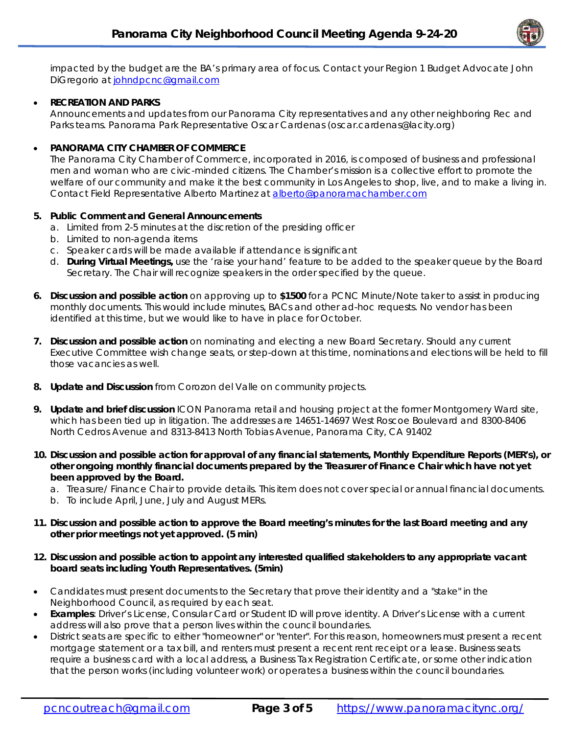

impacted by the budget are the BA's primary area of focus. Contact your Region 1 Budget Advocate John DiGregorio at johndpcnc@gmail.com

#### **RECREATION AND PARKS**

Announcements and updates from our Panorama City representatives and any other neighboring Rec and Parks teams. Panorama Park Representative Oscar Cardenas (oscar.cardenas@lacity.org)

#### **PANORAMA CITY CHAMBER OF COMMERCE**

The Panorama City Chamber of Commerce, incorporated in 2016, is composed of business and professional men and woman who are civic-minded citizens. The Chamber's mission is a collective effort to promote the welfare of our community and make it the best community in Los Angeles to shop, live, and to make a living in. Contact Field Representative Alberto Martinez at alberto@panoramachamber.com

#### **5. Public Comment and General Announcements**

- a. Limited from 2-5 minutes at the discretion of the presiding officer
- b. Limited to non-agenda items
- c. Speaker cards will be made available if attendance is significant
- d. **During Virtual Meetings,** use the 'raise your hand' feature to be added to the speaker queue by the Board Secretary. The Chair will recognize speakers in the order specified by the queue.
- **6. Discussion and possible action** on approving up to **\$1500** for a PCNC Minute/Note taker to assist in producing monthly documents. This would include minutes, BACs and other ad-hoc requests. No vendor has been identified at this time, but we would like to have in place for October.
- **7. Discussion and possible action** on nominating and electing a new Board Secretary. Should any current Executive Committee wish change seats, or step-down at this time, nominations and elections will be held to fill those vacancies as well.
- **8. Update and Discussion** from Corozon del Valle on community projects.
- **9. Update and brief discussion** ICON Panorama retail and housing project at the former Montgomery Ward site, which has been tied up in litigation. The addresses are 14651-14697 West Roscoe Boulevard and 8300-8406 North Cedros Avenue and 8313-8413 North Tobias Avenue, Panorama City, CA 91402
- **10. Discussion and possible action for approval of any financial statements, Monthly Expenditure Reports (MER's), or other ongoing monthly financial documents prepared by the Treasurer of Finance Chair which have not yet been approved by the Board.** 
	- a. Treasure/ Finance Chair to provide details. This item does not cover special or annual financial documents.
	- b. To include April, June, July and August MERs.
- **11. Discussion and possible action to approve the Board meeting's minutes for the last Board meeting and any other prior meetings not yet approved. (5 min)**
- **12. Discussion and possible action to appoint any interested qualified stakeholders to any appropriate vacant board seats including Youth Representatives. (5min)**
- Candidates must present documents to the Secretary that prove their identity and a "stake" in the Neighborhood Council, as required by each seat.
- **Examples**: Driver's License, Consular Card or Student ID will prove identity. A Driver's License with a current address will also prove that a person lives within the council boundaries.
- District seats are specific to either "homeowner" or "renter". For this reason, homeowners must present a recent mortgage statement or a tax bill, and renters must present a recent rent receipt or a lease. Business seats require a business card with a local address, a Business Tax Registration Certificate, or some other indication that the person works (including volunteer work) or operates a business within the council boundaries.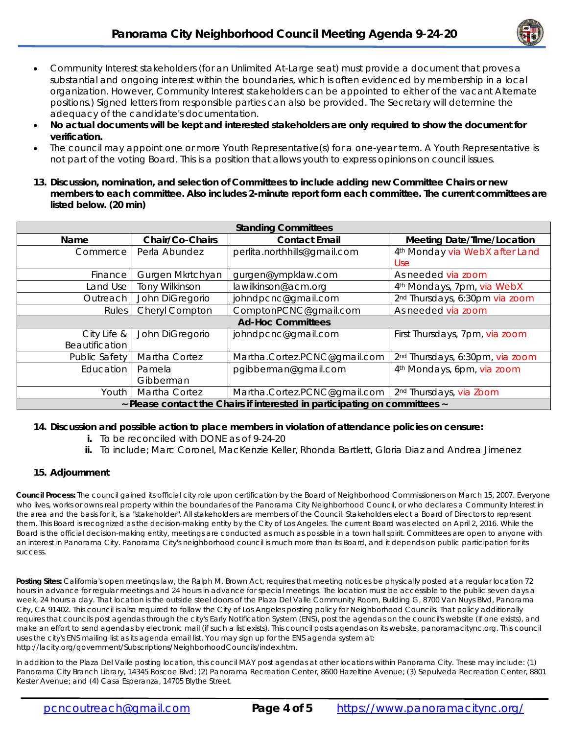

- Community Interest stakeholders (for an Unlimited At-Large seat) must provide a document that proves a substantial and ongoing interest within the boundaries, which is often evidenced by membership in a local organization. However, Community Interest stakeholders can be appointed to either of the vacant Alternate positions.) Signed letters from responsible parties can also be provided. The Secretary will determine the adequacy of the candidate's documentation.
- **No actual documents will be kept and interested stakeholders are only required to show the document for verification.**
- The council may appoint one or more Youth Representative(s) for a one-year term. A Youth Representative is not part of the voting Board. This is a position that allows youth to express opinions on council issues.
- **13. Discussion, nomination, and selection of Committees to include adding new Committee Chairs or new members to each committee. Also includes 2-minute report form each committee. The current committees are listed below. (20 min)**

| <b>Standing Committees</b>                                                 |                       |                              |                                            |
|----------------------------------------------------------------------------|-----------------------|------------------------------|--------------------------------------------|
| Name                                                                       | Chair/Co-Chairs       | <b>Contact Email</b>         | <b>Meeting Date/Time/Location</b>          |
| Commerce                                                                   | Perla Abundez         | perlita.northhills@gmail.com | 4 <sup>th</sup> Monday via WebX after Land |
|                                                                            |                       |                              | Use.                                       |
| Finance                                                                    | Gurgen Mkrtchyan      | gurgen@ympklaw.com           | As needed via zoom                         |
| Land Use                                                                   | <b>Tony Wilkinson</b> | lawilkinson@acm.org          | 4 <sup>th</sup> Mondays, 7pm, via WebX     |
| Outreach                                                                   | John DiGregorio       | johndpcnc@gmail.com          | 2 <sup>nd</sup> Thursdays, 6:30pm via zoom |
| <b>Rules</b>                                                               | Cheryl Compton        | ComptonPCNC@gmail.com        | As needed via zoom                         |
| <b>Ad-Hoc Committees</b>                                                   |                       |                              |                                            |
| City Life &                                                                | John DiGregorio       | johndpcnc@gmail.com          | First Thursdays, 7pm, via zoom             |
| Beautification                                                             |                       |                              |                                            |
| <b>Public Safety</b>                                                       | Martha Cortez         | Martha.Cortez.PCNC@gmail.com | 2nd Thursdays, 6:30pm, via zoom            |
| Education                                                                  | Pamela                | pgibberman@gmail.com         | 4 <sup>th</sup> Mondays, 6pm, via zoom     |
|                                                                            | Gibberman             |                              |                                            |
| Youth                                                                      | Martha Cortez         | Martha.Cortez.PCNC@gmail.com | 2 <sup>nd</sup> Thursdays, via Zoom        |
| ~ Please contact the Chairs if interested in participating on committees ~ |                       |                              |                                            |

#### **14. Discussion and possible action to place members in violation of attendance policies on censure:**

- **i.** To be reconciled with DONE as of 9-24-20
- **ii.** To include; Marc Coronel, MacKenzie Keller, Rhonda Bartlett, Gloria Diaz and Andrea Jimenez

#### **15. Adjournment**

**Council Process:** The council gained its official city role upon certification by the Board of Neighborhood Commissioners on March 15, 2007. Everyone who lives, works or owns real property within the boundaries of the Panorama City Neighborhood Council, or who declares a Community Interest in the area and the basis for it, is a "stakeholder". All stakeholders are members of the Council. Stakeholders elect a Board of Directors to represent them. This Board is recognized as the decision-making entity by the City of Los Angeles. The current Board was elected on April 2, 2016. While the Board is the official decision-making entity, meetings are conducted as much as possible in a town hall spirit. Committees are open to anyone with an interest in Panorama City. Panorama City's neighborhood council is much more than its Board, and it depends on public participation for its success.

**Posting Sites:** California's open meetings law, the Ralph M. Brown Act, requires that meeting notices be physically posted at a regular location 72 hours in advance for regular meetings and 24 hours in advance for special meetings. The location must be accessible to the public seven days a week, 24 hours a day. That location is the outside steel doors of the Plaza Del Valle Community Room, Building G, 8700 Van Nuys Blvd, Panorama City, CA 91402. This council is also required to follow the City of Los Angeles posting policy for Neighborhood Councils. That policy additionally requires that councils post agendas through the city's Early Notification System (ENS), post the agendas on the council's website (if one exists), and make an effort to send agendas by electronic mail (if such a list exists). This council posts agendas on its website, panoramacitync.org. This council uses the city's ENS mailing list as its agenda email list. You may sign up for the ENS agenda system at: http://lacity.org/government/Subscriptions/NeighborhoodCouncils/index.htm.

In addition to the Plaza Del Valle posting location, this council MAY post agendas at other locations within Panorama City. These may include: (1) Panorama City Branch Library, 14345 Roscoe Blvd; (2) Panorama Recreation Center, 8600 Hazeltine Avenue; (3) Sepulveda Recreation Center, 8801 Kester Avenue; and (4) Casa Esperanza, 14705 Blythe Street.